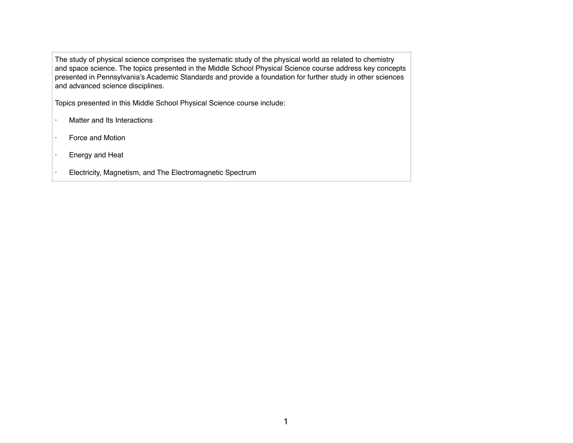The study of physical science comprises the systematic study of the physical world as related to chemistry and space science. The topics presented in the Middle School Physical Science course address key concepts presented in Pennsylvania's Academic Standards and provide a foundation for further study in other sciences and advanced science disciplines.

Topics presented in this Middle School Physical Science course include:

- · Matter and Its Interactions
- · Force and Motion
- · Energy and Heat
- · Electricity, Magnetism, and The Electromagnetic Spectrum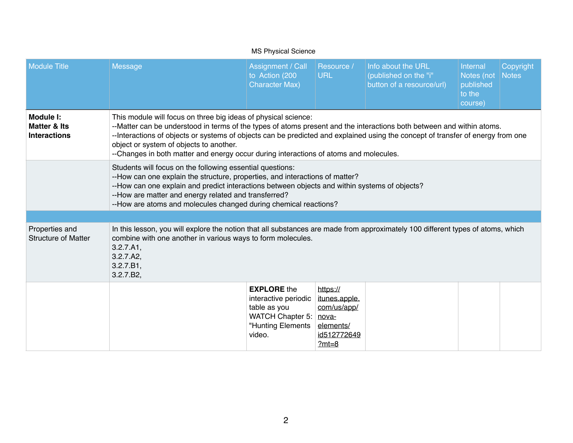|                                                             |                                                                                                                                                                                                                                                                                                                                                                                                                                                                | <b>MS Physical Science</b>                                                                                          |                                                                                 |                                                                          |                                                          |                    |  |  |
|-------------------------------------------------------------|----------------------------------------------------------------------------------------------------------------------------------------------------------------------------------------------------------------------------------------------------------------------------------------------------------------------------------------------------------------------------------------------------------------------------------------------------------------|---------------------------------------------------------------------------------------------------------------------|---------------------------------------------------------------------------------|--------------------------------------------------------------------------|----------------------------------------------------------|--------------------|--|--|
| <b>Module Title</b>                                         | <b>Message</b>                                                                                                                                                                                                                                                                                                                                                                                                                                                 | Assignment / Call<br>to Action (200<br><b>Character Max)</b>                                                        | Resource /<br><b>URL</b>                                                        | Info about the URL<br>(published on the "i"<br>button of a resource/url) | Internal<br>Notes (not<br>published<br>to the<br>course) | Copyright<br>Notes |  |  |
| Module I:<br><b>Matter &amp; Its</b><br><b>Interactions</b> | This module will focus on three big ideas of physical science:<br>--Matter can be understood in terms of the types of atoms present and the interactions both between and within atoms.<br>--Interactions of objects or systems of objects can be predicted and explained using the concept of transfer of energy from one<br>object or system of objects to another.<br>--Changes in both matter and energy occur during interactions of atoms and molecules. |                                                                                                                     |                                                                                 |                                                                          |                                                          |                    |  |  |
|                                                             | Students will focus on the following essential questions:<br>--How can one explain the structure, properties, and interactions of matter?<br>--How can one explain and predict interactions between objects and within systems of objects?<br>--How are matter and energy related and transferred?<br>--How are atoms and molecules changed during chemical reactions?                                                                                         |                                                                                                                     |                                                                                 |                                                                          |                                                          |                    |  |  |
| Properties and<br><b>Structure of Matter</b>                | In this lesson, you will explore the notion that all substances are made from approximately 100 different types of atoms, which<br>combine with one another in various ways to form molecules.<br>3.2.7.A1,<br>3.2.7.A2,<br>3.2.7.B1,<br>3.2.7.B2,                                                                                                                                                                                                             |                                                                                                                     |                                                                                 |                                                                          |                                                          |                    |  |  |
|                                                             |                                                                                                                                                                                                                                                                                                                                                                                                                                                                | <b>EXPLORE</b> the<br>interactive periodic<br>table as you<br>WATCH Chapter 5: nova-<br>"Hunting Elements<br>video. | https://<br>itunes.apple.<br>com/us/app/<br>elements/<br>id512772649<br>$?mt=8$ |                                                                          |                                                          |                    |  |  |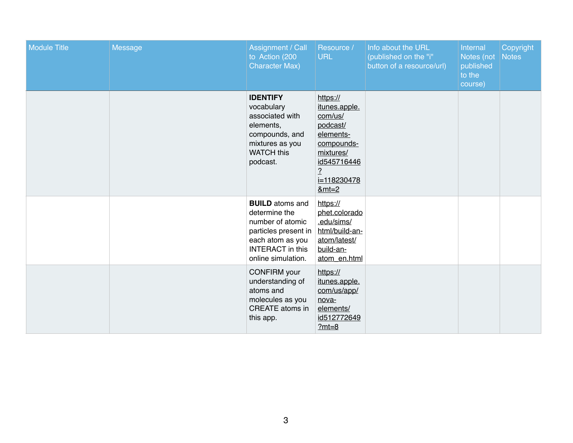| <b>Module Title</b> | <b>Message</b> | <b>Assignment / Call</b><br>to Action (200<br><b>Character Max)</b>                                                                                      | Resource /<br><b>URL</b>                                                                                                                            | Info about the URL<br>(published on the "i"<br>button of a resource/url) | Internal<br>Notes (not<br>published<br>to the<br>course) | Copyright<br><b>Notes</b> |
|---------------------|----------------|----------------------------------------------------------------------------------------------------------------------------------------------------------|-----------------------------------------------------------------------------------------------------------------------------------------------------|--------------------------------------------------------------------------|----------------------------------------------------------|---------------------------|
|                     |                | <b>IDENTIFY</b><br>vocabulary<br>associated with<br>elements,<br>compounds, and<br>mixtures as you<br><b>WATCH this</b><br>podcast.                      | https://<br>itunes.apple.<br>com/us/<br>podcast/<br>elements-<br>compounds-<br>mixtures/<br>id545716446<br>$\overline{.}$<br>i=118230478<br>$&mt=2$ |                                                                          |                                                          |                           |
|                     |                | <b>BUILD</b> atoms and<br>determine the<br>number of atomic<br>particles present in<br>each atom as you<br><b>INTERACT</b> in this<br>online simulation. | https://<br>phet.colorado<br>.edu/sims/<br>html/build-an-<br>atom/latest/<br>build-an-<br>atom_en.html                                              |                                                                          |                                                          |                           |
|                     |                | <b>CONFIRM</b> your<br>understanding of<br>atoms and<br>molecules as you<br><b>CREATE</b> atoms in<br>this app.                                          | https://<br>itunes.apple.<br>com/us/app/<br>nova-<br>elements/<br>id512772649<br>$?mt=8$                                                            |                                                                          |                                                          |                           |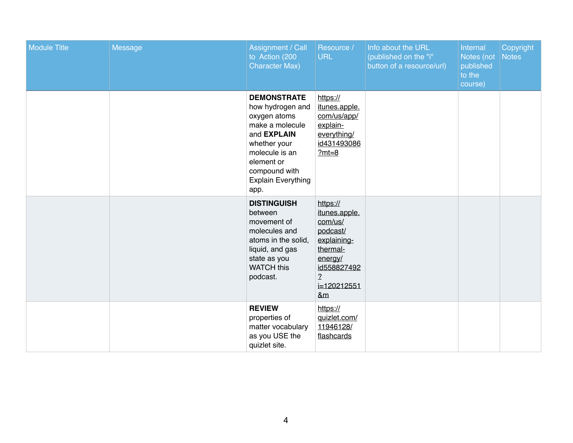| <b>Module Title</b> | <b>Message</b> | Assignment / Call<br>to Action (200<br><b>Character Max)</b>                                                                                                                                          | Resource /<br><b>URL</b>                                                                                                                               | Info about the URL<br>(published on the "i"<br>button of a resource/url) | Internal<br>Notes (not<br>published<br>to the<br>course) | Copyright<br>Notes |
|---------------------|----------------|-------------------------------------------------------------------------------------------------------------------------------------------------------------------------------------------------------|--------------------------------------------------------------------------------------------------------------------------------------------------------|--------------------------------------------------------------------------|----------------------------------------------------------|--------------------|
|                     |                | <b>DEMONSTRATE</b><br>how hydrogen and<br>oxygen atoms<br>make a molecule<br>and <b>EXPLAIN</b><br>whether your<br>molecule is an<br>element or<br>compound with<br><b>Explain Everything</b><br>app. | https://<br>itunes.apple.<br>com/us/app/<br>explain-<br>everything/<br>id431493086<br>$?mt=8$                                                          |                                                                          |                                                          |                    |
|                     |                | <b>DISTINGUISH</b><br>between<br>movement of<br>molecules and<br>atoms in the solid,<br>liquid, and gas<br>state as you<br><b>WATCH this</b><br>podcast.                                              | https://<br>itunes.apple.<br>com/us/<br>podcast/<br>explaining-<br>thermal-<br>energy/<br>id558827492<br>$\frac{2}{1}$<br>i=120212551<br><u>&amp;m</u> |                                                                          |                                                          |                    |
|                     |                | <b>REVIEW</b><br>properties of<br>matter vocabulary<br>as you USE the<br>quizlet site.                                                                                                                | https://<br>quizlet.com/<br>11946128/<br>flashcards                                                                                                    |                                                                          |                                                          |                    |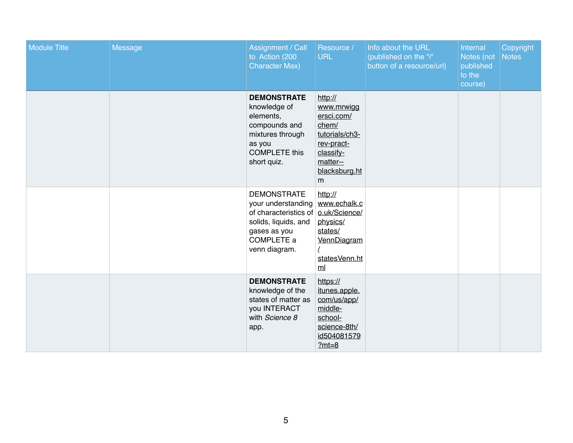| <b>Module Title</b> | <b>Message</b> | <b>Assignment / Call</b><br>to Action (200<br><b>Character Max)</b>                                                                                           | Resource /<br><b>URL</b>                                                                                                    | Info about the URL<br>(published on the "i"<br>button of a resource/url) | Internal<br>Notes (not<br>published<br>to the<br>course) | Copyright<br>Notes |
|---------------------|----------------|---------------------------------------------------------------------------------------------------------------------------------------------------------------|-----------------------------------------------------------------------------------------------------------------------------|--------------------------------------------------------------------------|----------------------------------------------------------|--------------------|
|                     |                | <b>DEMONSTRATE</b><br>knowledge of<br>elements,<br>compounds and<br>mixtures through<br>as you<br><b>COMPLETE this</b><br>short quiz.                         | http://<br>www.mrwigg<br>ersci.com/<br>chem/<br>tutorials/ch3-<br>rev-pract-<br>classify-<br>matter--<br>blacksburg.ht<br>m |                                                                          |                                                          |                    |
|                     |                | <b>DEMONSTRATE</b><br>your understanding<br>of characteristics of <b>o.uk/Science/</b><br>solids, liquids, and<br>gases as you<br>COMPLETE a<br>venn diagram. | http://<br>www.echalk.c<br>physics/<br>states/<br>VennDiagram<br>statesVenn.ht<br>m <sub>l</sub>                            |                                                                          |                                                          |                    |
|                     |                | <b>DEMONSTRATE</b><br>knowledge of the<br>states of matter as<br>you INTERACT<br>with Science 8<br>app.                                                       | https://<br>itunes.apple.<br>com/us/app/<br>middle-<br>school-<br>science-8th/<br>id504081579<br>$?mt=8$                    |                                                                          |                                                          |                    |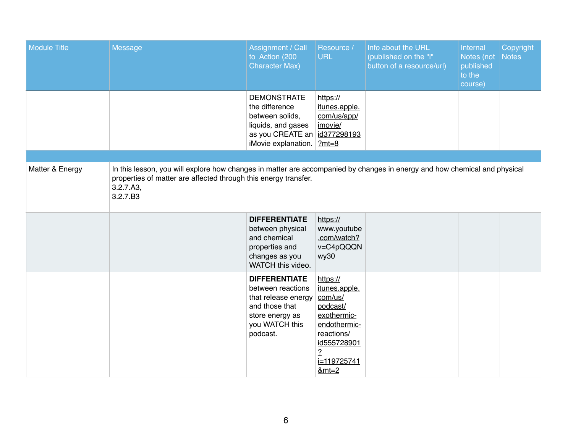| <b>Module Title</b> | <b>Message</b>                                                                                                                                                                                                        | Assignment / Call<br>to Action (200<br><b>Character Max)</b>                                                                                 | Resource /<br><b>URL</b>                                                                                                                                         | Info about the URL<br>(published on the "i"<br>button of a resource/url) | Internal<br>Notes (not<br>published<br>to the<br>course) | Copyright<br><b>Notes</b> |
|---------------------|-----------------------------------------------------------------------------------------------------------------------------------------------------------------------------------------------------------------------|----------------------------------------------------------------------------------------------------------------------------------------------|------------------------------------------------------------------------------------------------------------------------------------------------------------------|--------------------------------------------------------------------------|----------------------------------------------------------|---------------------------|
|                     |                                                                                                                                                                                                                       | <b>DEMONSTRATE</b><br>the difference<br>between solids,<br>liquids, and gases<br>as you CREATE an id377298193<br>iMovie explanation. $2mt=8$ | https://<br><i>itunes.apple.</i><br>com/us/app/<br>imovie/                                                                                                       |                                                                          |                                                          |                           |
|                     |                                                                                                                                                                                                                       |                                                                                                                                              |                                                                                                                                                                  |                                                                          |                                                          |                           |
| Matter & Energy     | In this lesson, you will explore how changes in matter are accompanied by changes in energy and how chemical and physical<br>properties of matter are affected through this energy transfer.<br>3.2.7.A3,<br>3.2.7.B3 |                                                                                                                                              |                                                                                                                                                                  |                                                                          |                                                          |                           |
|                     |                                                                                                                                                                                                                       | <b>DIFFERENTIATE</b><br>between physical<br>and chemical<br>properties and<br>changes as you<br>WATCH this video.                            | https://<br>www.youtube<br>.com/watch?<br>$v = C4pQQQN$<br><u>wy30</u>                                                                                           |                                                                          |                                                          |                           |
|                     |                                                                                                                                                                                                                       | <b>DIFFERENTIATE</b><br>between reactions<br>that release energy<br>and those that<br>store energy as<br>you WATCH this<br>podcast.          | https://<br><i>itunes.apple.</i><br>com/us/<br>podcast/<br>exothermic-<br>endothermic-<br>reactions/<br>id555728901<br>$\frac{2}{1}$<br>$i=119725741$<br>$&mt=2$ |                                                                          |                                                          |                           |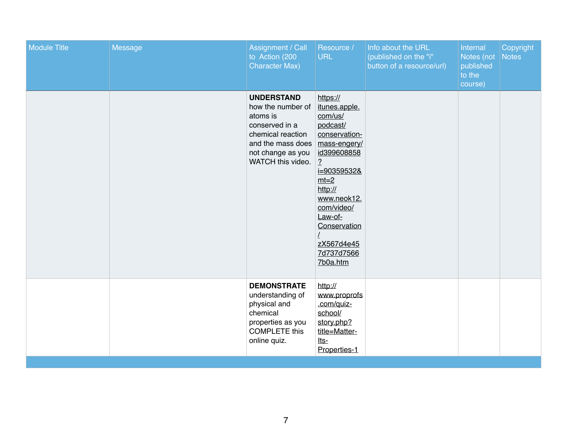| <b>Module Title</b> | <b>Message</b> | <b>Assignment / Call</b><br>to Action (200<br><b>Character Max)</b>                                                                                      | Resource /<br><b>URL</b>                                                                                                                                                                                                                                         | Info about the URL<br>(published on the "i"<br>button of a resource/url) | Internal<br>Notes (not<br>published<br>to the<br>course) | Copyright<br>Notes |
|---------------------|----------------|----------------------------------------------------------------------------------------------------------------------------------------------------------|------------------------------------------------------------------------------------------------------------------------------------------------------------------------------------------------------------------------------------------------------------------|--------------------------------------------------------------------------|----------------------------------------------------------|--------------------|
|                     |                | <b>UNDERSTAND</b><br>how the number of<br>atoms is<br>conserved in a<br>chemical reaction<br>and the mass does<br>not change as you<br>WATCH this video. | https://<br>itunes.apple.<br>com/us/<br>podcast/<br>conservation-<br>mass-engery/<br>id399608858<br>$\frac{2}{1}$<br><u>i=90359532&amp;</u><br>$mt=2$<br>http://<br>www.neok12.<br>com/video/<br>Law-of-<br>Conservation<br>zX567d4e45<br>7d737d7566<br>7b0a.htm |                                                                          |                                                          |                    |
|                     |                | <b>DEMONSTRATE</b><br>understanding of<br>physical and<br>chemical<br>properties as you<br><b>COMPLETE this</b><br>online quiz.                          | http://<br>www.proprofs<br>.com/quiz-<br>school/<br>story.php?<br>title=Matter-<br><u>lts-</u><br>Properties-1                                                                                                                                                   |                                                                          |                                                          |                    |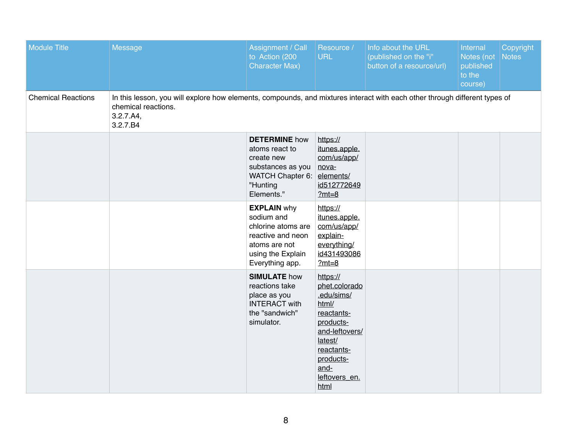| <b>Module Title</b>       | <b>Message</b>                                                                                                                                                             | Assignment / Call<br>to Action (200<br><b>Character Max)</b>                                                                         | Resource /<br><b>URL</b>                                                                                                                                             | Info about the URL<br>(published on the "i"<br>button of a resource/url) | <b>Internal</b><br>Notes (not<br>published<br>to the<br>course) | Copyright<br><b>Notes</b> |
|---------------------------|----------------------------------------------------------------------------------------------------------------------------------------------------------------------------|--------------------------------------------------------------------------------------------------------------------------------------|----------------------------------------------------------------------------------------------------------------------------------------------------------------------|--------------------------------------------------------------------------|-----------------------------------------------------------------|---------------------------|
| <b>Chemical Reactions</b> | In this lesson, you will explore how elements, compounds, and mixtures interact with each other through different types of<br>chemical reactions.<br>3.2.7.A4,<br>3.2.7.B4 |                                                                                                                                      |                                                                                                                                                                      |                                                                          |                                                                 |                           |
|                           |                                                                                                                                                                            | <b>DETERMINE</b> how<br>atoms react to<br>create new<br>substances as you<br><b>WATCH Chapter 6:</b><br>"Hunting<br>Elements."       | https://<br>itunes.apple.<br>com/us/app/<br>nova-<br>elements/<br>id512772649<br>$?mt=8$                                                                             |                                                                          |                                                                 |                           |
|                           |                                                                                                                                                                            | <b>EXPLAIN why</b><br>sodium and<br>chlorine atoms are<br>reactive and neon<br>atoms are not<br>using the Explain<br>Everything app. | https://<br>itunes.apple.<br>com/us/app/<br>explain-<br>everything/<br>id431493086<br>$?mt=8$                                                                        |                                                                          |                                                                 |                           |
|                           |                                                                                                                                                                            | <b>SIMULATE how</b><br>reactions take<br>place as you<br><b>INTERACT with</b><br>the "sandwich"<br>simulator.                        | https://<br>phet.colorado<br>.edu/sims/<br>html/<br>reactants-<br>products-<br>and-leftovers/<br>latest/<br>reactants-<br>products-<br>and-<br>leftovers_en.<br>html |                                                                          |                                                                 |                           |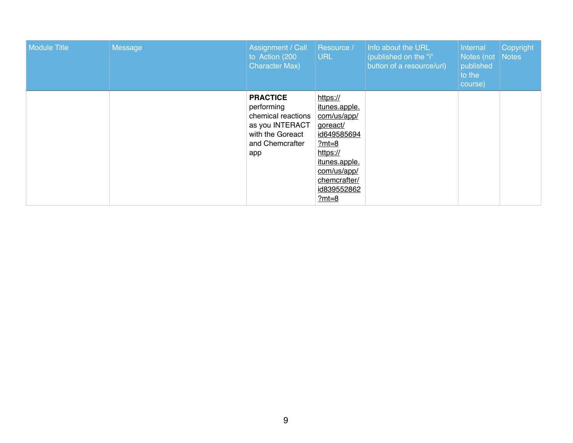| Module Title | Message | Assignment / Call<br>to Action (200<br><b>Character Max)</b>                                                         | Resource /<br><b>URL</b>                                                                                                                                             | Info about the URL<br>(published on the "i"<br>button of a resource/url) | <b>Internal</b><br>Notes (not<br>published<br>to the<br>course) | Copyright<br>Notes |
|--------------|---------|----------------------------------------------------------------------------------------------------------------------|----------------------------------------------------------------------------------------------------------------------------------------------------------------------|--------------------------------------------------------------------------|-----------------------------------------------------------------|--------------------|
|              |         | <b>PRACTICE</b><br>performing<br>chemical reactions<br>as you INTERACT<br>with the Goreact<br>and Chemcrafter<br>app | https://<br>itunes.apple.<br>com/us/app/<br>goreact/<br>id649585694<br>$?mt=8$<br>https://<br>itunes.apple.<br>com/us/app/<br>chemcrafter/<br>id839552862<br>$?mt=8$ |                                                                          |                                                                 |                    |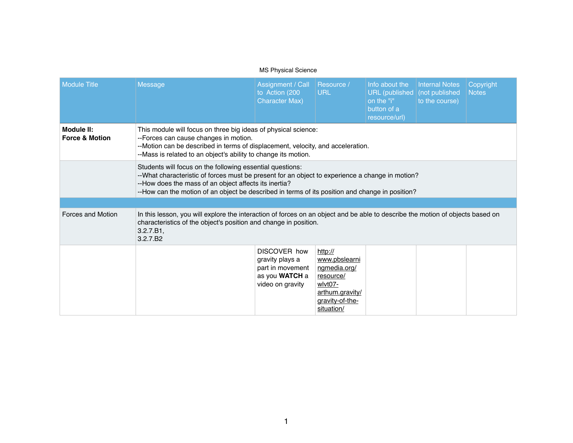## MS Physical Science

| <b>Module Title</b>                     | <b>Message</b>                                                                                                                                                                                                                                                                                                           | <b>Assignment / Call</b><br>to Action (200<br><b>Character Max)</b>                              | Resource /<br><b>URL</b>                                                                                             | Info about the<br>URL (published   (not published<br>on the "i"<br>button of a<br>resource/url) | <b>Internal Notes</b><br>to the course) | Copyright<br><b>Notes</b> |  |  |
|-----------------------------------------|--------------------------------------------------------------------------------------------------------------------------------------------------------------------------------------------------------------------------------------------------------------------------------------------------------------------------|--------------------------------------------------------------------------------------------------|----------------------------------------------------------------------------------------------------------------------|-------------------------------------------------------------------------------------------------|-----------------------------------------|---------------------------|--|--|
| Module II:<br><b>Force &amp; Motion</b> | This module will focus on three big ideas of physical science:<br>--Forces can cause changes in motion.<br>--Motion can be described in terms of displacement, velocity, and acceleration.<br>--Mass is related to an object's ability to change its motion.                                                             |                                                                                                  |                                                                                                                      |                                                                                                 |                                         |                           |  |  |
|                                         | Students will focus on the following essential questions:<br>--What characteristic of forces must be present for an object to experience a change in motion?<br>--How does the mass of an object affects its inertia?<br>--How can the motion of an object be described in terms of its position and change in position? |                                                                                                  |                                                                                                                      |                                                                                                 |                                         |                           |  |  |
|                                         |                                                                                                                                                                                                                                                                                                                          |                                                                                                  |                                                                                                                      |                                                                                                 |                                         |                           |  |  |
| <b>Forces and Motion</b>                | In this lesson, you will explore the interaction of forces on an object and be able to describe the motion of objects based on<br>characteristics of the object's position and change in position.<br>3.2.7.B1,<br>3.2.7.B <sub>2</sub>                                                                                  |                                                                                                  |                                                                                                                      |                                                                                                 |                                         |                           |  |  |
|                                         |                                                                                                                                                                                                                                                                                                                          | <b>DISCOVER how</b><br>gravity plays a<br>part in movement<br>as you WATCH a<br>video on gravity | http://<br>www.pbslearni<br>ngmedia.org/<br>resource/<br>wlvt07-<br>arthum.gravity/<br>gravity-of-the-<br>situation/ |                                                                                                 |                                         |                           |  |  |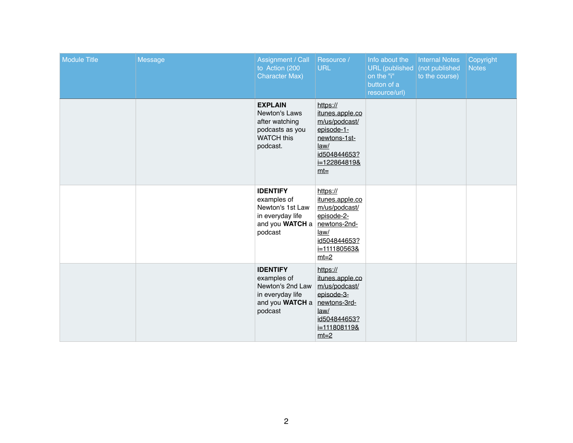| <b>Module Title</b> | <b>Message</b> | <b>Assignment / Call</b><br>to Action (200<br><b>Character Max)</b>                                               | Resource /<br><b>URL</b>                                                                                                     | Info about the<br>URL (published)<br>on the "i"<br>button of a<br>resource/url) | <b>Internal Notes</b><br>(not published<br>to the course) | Copyright<br><b>Notes</b> |
|---------------------|----------------|-------------------------------------------------------------------------------------------------------------------|------------------------------------------------------------------------------------------------------------------------------|---------------------------------------------------------------------------------|-----------------------------------------------------------|---------------------------|
|                     |                | <b>EXPLAIN</b><br><b>Newton's Laws</b><br>after watching<br>podcasts as you<br><b>WATCH this</b><br>podcast.      | https://<br>itunes.apple.co<br>m/us/podcast/<br>episode-1-<br>newtons-1st-<br>law/<br>id504844653?<br>i=122864819&<br>$mt=$  |                                                                                 |                                                           |                           |
|                     |                | <b>IDENTIFY</b><br>examples of<br>Newton's 1st Law<br>in everyday life<br>and you WATCH a<br>podcast              | https://<br>itunes.apple.co<br>m/us/podcast/<br>episode-2-<br>newtons-2nd-<br>law/<br>id504844653?<br>i=111180563&<br>$mt=2$ |                                                                                 |                                                           |                           |
|                     |                | <b>IDENTIFY</b><br>examples of<br>Newton's 2nd Law<br>in everyday life<br>and you WATCH a newtons-3rd-<br>podcast | https://<br>itunes.apple.co<br>m/us/podcast/<br>episode-3-<br>law/<br>id504844653?<br><u>i=111808119&amp;</u><br>$mt=2$      |                                                                                 |                                                           |                           |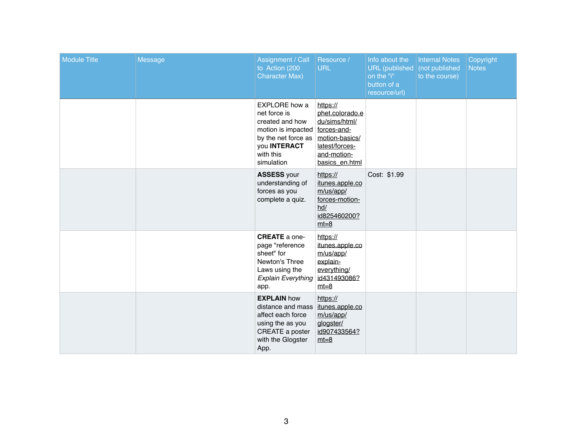| <b>Module Title</b> | <b>Message</b> | <b>Assignment / Call</b><br>to Action (200<br><b>Character Max)</b>                                                                                                | Resource /<br><b>URL</b>                                                                                          | Info about the<br>URL (published<br>on the "i"<br>button of a<br>resource/url) | <b>Internal Notes</b><br>(not published<br>to the course) | Copyright<br><b>Notes</b> |
|---------------------|----------------|--------------------------------------------------------------------------------------------------------------------------------------------------------------------|-------------------------------------------------------------------------------------------------------------------|--------------------------------------------------------------------------------|-----------------------------------------------------------|---------------------------|
|                     |                | <b>EXPLORE</b> how a<br>net force is<br>created and how<br>motion is impacted forces-and-<br>by the net force as<br>you <b>INTERACT</b><br>with this<br>simulation | https://<br>phet.colorado.e<br>du/sims/html/<br>motion-basics/<br>latest/forces-<br>and-motion-<br>basics en.html |                                                                                |                                                           |                           |
|                     |                | <b>ASSESS your</b><br>understanding of<br>forces as you<br>complete a quiz.                                                                                        | https://<br>itunes.apple.co<br>m/us/app/<br>forces-motion-<br>hd/<br>id825460200?<br>$mt=8$                       | Cost: \$1.99                                                                   |                                                           |                           |
|                     |                | <b>CREATE</b> a one-<br>page "reference<br>sheet" for<br>Newton's Three<br>Laws using the<br><b>Explain Everything</b><br>app.                                     | https://<br>itunes.apple.co<br>m/us/app/<br>explain-<br>everything/<br>id431493086?<br>$mt = 8$                   |                                                                                |                                                           |                           |
|                     |                | <b>EXPLAIN how</b><br>distance and mass<br>affect each force<br>using the as you<br>CREATE a poster<br>with the Glogster<br>App.                                   | https://<br>itunes.apple.co<br>m/us/app/<br>glogster/<br>id907433564?<br>$mt = 8$                                 |                                                                                |                                                           |                           |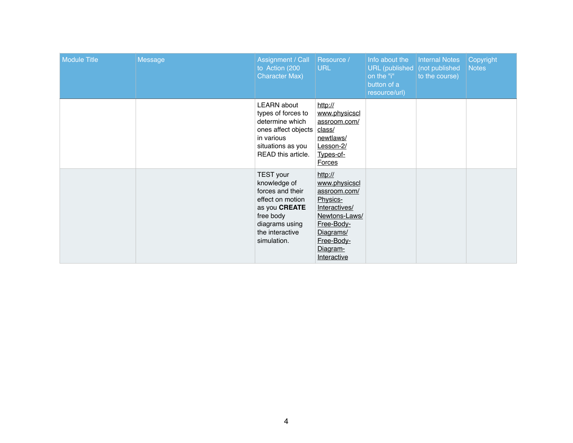| <b>Module Title</b> | <b>Message</b> | Assignment / Call<br>to Action (200<br><b>Character Max)</b>                                                                                               | <b>Resource /</b><br><b>URL</b>                                                                                                                            | Info about the<br><b>URL</b> (published<br>on the "i"<br>button of a<br>resource/url) | <b>Internal Notes</b><br>(not published<br>to the course) | Copyright<br><b>Notes</b> |
|---------------------|----------------|------------------------------------------------------------------------------------------------------------------------------------------------------------|------------------------------------------------------------------------------------------------------------------------------------------------------------|---------------------------------------------------------------------------------------|-----------------------------------------------------------|---------------------------|
|                     |                | <b>LEARN</b> about<br>types of forces to<br>determine which<br>ones affect objects<br>in various<br>situations as you<br>READ this article.                | http://<br>www.physicscl<br>assroom.com/<br>class/<br>newtlaws/<br>Lesson-2/<br>Types-of-<br><b>Forces</b>                                                 |                                                                                       |                                                           |                           |
|                     |                | <b>TEST</b> your<br>knowledge of<br>forces and their<br>effect on motion<br>as you CREATE<br>free body<br>diagrams using<br>the interactive<br>simulation. | http://<br>www.physicscl<br>assroom.com/<br>Physics-<br>Interactives/<br>Newtons-Laws/<br>Free-Body-<br>Diagrams/<br>Free-Body-<br>Diagram-<br>Interactive |                                                                                       |                                                           |                           |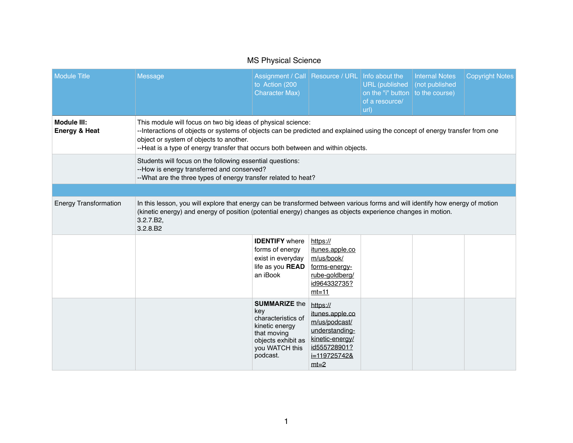|                                                | <b>INIO FIIVSICAL OCIELICE</b>                                                                                                                                                                                                                                                                                              |                                                                                                                                        |                                                                                                                                        |                                                                                  |                                         |                        |  |  |
|------------------------------------------------|-----------------------------------------------------------------------------------------------------------------------------------------------------------------------------------------------------------------------------------------------------------------------------------------------------------------------------|----------------------------------------------------------------------------------------------------------------------------------------|----------------------------------------------------------------------------------------------------------------------------------------|----------------------------------------------------------------------------------|-----------------------------------------|------------------------|--|--|
| <b>Module Title</b>                            | <b>Message</b>                                                                                                                                                                                                                                                                                                              | Assignment / Call   Resource / URL   Info about the<br>to Action (200<br><b>Character Max)</b>                                         |                                                                                                                                        | URL (published<br>on the "i" button $ $ to the course)<br>of a resource/<br>url) | <b>Internal Notes</b><br>(not published | <b>Copyright Notes</b> |  |  |
| <b>Module III:</b><br><b>Energy &amp; Heat</b> | This module will focus on two big ideas of physical science:<br>--Interactions of objects or systems of objects can be predicted and explained using the concept of energy transfer from one<br>object or system of objects to another.<br>--Heat is a type of energy transfer that occurs both between and within objects. |                                                                                                                                        |                                                                                                                                        |                                                                                  |                                         |                        |  |  |
|                                                | Students will focus on the following essential questions:<br>--How is energy transferred and conserved?<br>--What are the three types of energy transfer related to heat?                                                                                                                                                   |                                                                                                                                        |                                                                                                                                        |                                                                                  |                                         |                        |  |  |
|                                                |                                                                                                                                                                                                                                                                                                                             |                                                                                                                                        |                                                                                                                                        |                                                                                  |                                         |                        |  |  |
| <b>Energy Transformation</b>                   | In this lesson, you will explore that energy can be transformed between various forms and will identify how energy of motion<br>(kinetic energy) and energy of position (potential energy) changes as objects experience changes in motion.<br>3.2.7.B2,<br>3.2.8.B2                                                        |                                                                                                                                        |                                                                                                                                        |                                                                                  |                                         |                        |  |  |
|                                                |                                                                                                                                                                                                                                                                                                                             | <b>IDENTIFY</b> where<br>forms of energy<br>exist in everyday<br>life as you <b>READ</b><br>an iBook                                   | https://<br>itunes.apple.co<br>m/us/book/<br>forms-energy-<br>rube-goldberg/<br>id964332735?<br>$mt=11$                                |                                                                                  |                                         |                        |  |  |
|                                                |                                                                                                                                                                                                                                                                                                                             | <b>SUMMARIZE the</b><br>key<br>characteristics of<br>kinetic energy<br>that moving<br>objects exhibit as<br>you WATCH this<br>podcast. | https://<br>itunes.apple.co<br>m/us/podcast/<br>understanding-<br>kinetic-energy/<br>id555728901?<br><u>i=119725742&amp;</u><br>$mt=2$ |                                                                                  |                                         |                        |  |  |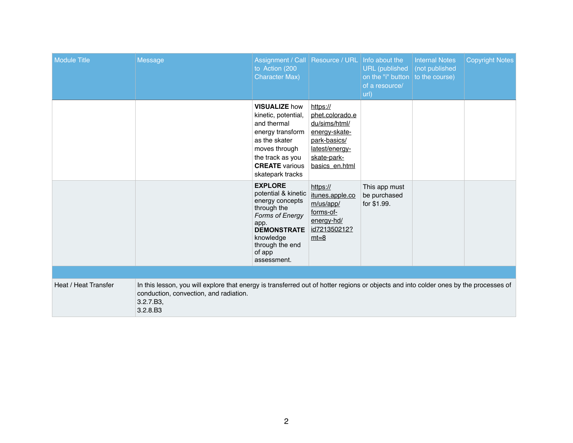| <b>Module Title</b>         | <b>Message</b>                                                                                                                                                                                           | Assignment / Call   Resource / URL   Info about the<br>to Action (200<br><b>Character Max)</b>                                                                                           |                                                                                                                                  | <b>URL</b> (published<br>on the "i" button $ $ to the course)<br>of a resource/<br>url) | <b>Internal Notes</b><br>(not published | <b>Copyright Notes</b> |
|-----------------------------|----------------------------------------------------------------------------------------------------------------------------------------------------------------------------------------------------------|------------------------------------------------------------------------------------------------------------------------------------------------------------------------------------------|----------------------------------------------------------------------------------------------------------------------------------|-----------------------------------------------------------------------------------------|-----------------------------------------|------------------------|
|                             |                                                                                                                                                                                                          | <b>VISUALIZE how</b><br>kinetic, potential,<br>and thermal<br>energy transform<br>as the skater<br>moves through<br>the track as you<br><b>CREATE</b> various<br>skatepark tracks        | https://<br>phet.colorado.e<br>du/sims/html/<br>energy-skate-<br>park-basics/<br>latest/energy-<br>skate-park-<br>basics en.html |                                                                                         |                                         |                        |
|                             |                                                                                                                                                                                                          | <b>EXPLORE</b><br>potential & kinetic<br>energy concepts<br>through the<br><b>Forms of Energy</b><br>app.<br><b>DEMONSTRATE</b><br>knowledge<br>through the end<br>of app<br>assessment. | https://<br>itunes.apple.co<br>m/us/app/<br>forms-of-<br>energy-hd/<br>id721350212?<br>$mt=8$                                    | This app must<br>be purchased<br>for \$1.99.                                            |                                         |                        |
|                             |                                                                                                                                                                                                          |                                                                                                                                                                                          |                                                                                                                                  |                                                                                         |                                         |                        |
| <b>Heat / Heat Transfer</b> | In this lesson, you will explore that energy is transferred out of hotter regions or objects and into colder ones by the processes of<br>conduction, convection, and radiation.<br>3.2.7.B3,<br>3.2.8.B3 |                                                                                                                                                                                          |                                                                                                                                  |                                                                                         |                                         |                        |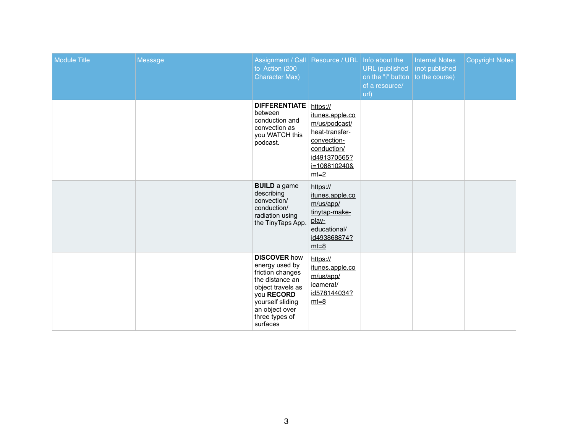| <b>Module Title</b> | <b>Message</b> | Assignment / Call   Resource / URL   Info about the<br>to Action (200<br><b>Character Max)</b>                                                                                      |                                                                                                                                        | URL (published   (not published<br>on the "i" button $\vert$ to the course)<br>of a resource/<br>url) | <b>Internal Notes</b> | <b>Copyright Notes</b> |
|---------------------|----------------|-------------------------------------------------------------------------------------------------------------------------------------------------------------------------------------|----------------------------------------------------------------------------------------------------------------------------------------|-------------------------------------------------------------------------------------------------------|-----------------------|------------------------|
|                     |                | <b>DIFFERENTIATE</b><br>between<br>conduction and<br>convection as<br>you WATCH this<br>podcast.                                                                                    | https://<br>itunes.apple.co<br>m/us/podcast/<br>heat-transfer-<br>convection-<br>conduction/<br>id491370565?<br>i=108810240&<br>$mt=2$ |                                                                                                       |                       |                        |
|                     |                | <b>BUILD</b> a game<br>describing<br>convection/<br>conduction/<br>radiation using<br>the TinyTaps App.                                                                             | https://<br>itunes.apple.co<br>m/us/app/<br>tinytap-make-<br>play-<br>educational/<br>id493868874?<br>$mt=8$                           |                                                                                                       |                       |                        |
|                     |                | <b>DISCOVER how</b><br>energy used by<br>friction changes<br>the distance an<br>object travels as<br>you RECORD<br>yourself sliding<br>an object over<br>three types of<br>surfaces | https://<br>itunes.apple.co<br>m/us/app/<br><i>icamera!/</i><br>id578144034?<br>$mt = 8$                                               |                                                                                                       |                       |                        |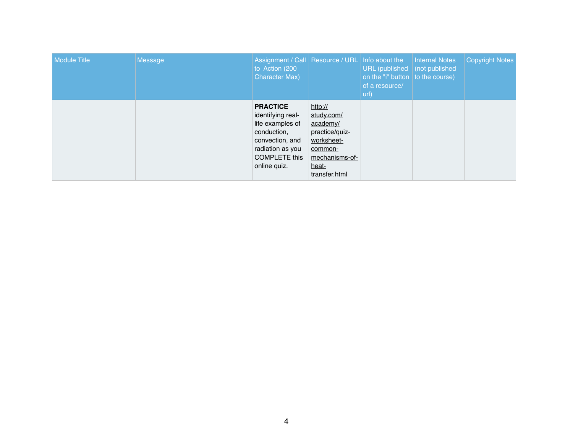| <b>Module Title</b> | <b>Message</b> | Assignment / Call   Resource / URL   Info about the<br>to Action (200<br><b>Character Max)</b>                                                         |                                                                                                                          | URL (published   (not published<br>on the "i" button $\vert$ to the course)<br>of a resource/<br>url) | Internal Notes | <b>Copyright Notes</b> |
|---------------------|----------------|--------------------------------------------------------------------------------------------------------------------------------------------------------|--------------------------------------------------------------------------------------------------------------------------|-------------------------------------------------------------------------------------------------------|----------------|------------------------|
|                     |                | <b>PRACTICE</b><br>identifying real-<br>life examples of<br>conduction,<br>convection, and<br>radiation as you<br><b>COMPLETE this</b><br>online quiz. | http://<br>study.com/<br>academy/<br>practice/quiz-<br>worksheet-<br>common-<br>mechanisms-of-<br>heat-<br>transfer.html |                                                                                                       |                |                        |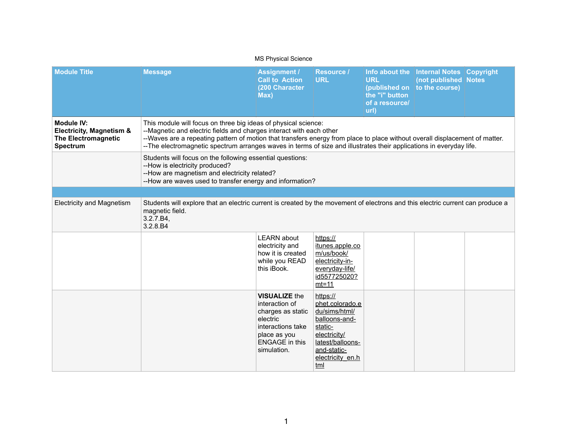| <b>MS Physical Science</b>                                                                                |                                                                                                                                                                                                                                                                                                                                                                                             |                                                                                                                                                      |                                                                                                                                                        |                                                                          |                                                                                           |  |  |
|-----------------------------------------------------------------------------------------------------------|---------------------------------------------------------------------------------------------------------------------------------------------------------------------------------------------------------------------------------------------------------------------------------------------------------------------------------------------------------------------------------------------|------------------------------------------------------------------------------------------------------------------------------------------------------|--------------------------------------------------------------------------------------------------------------------------------------------------------|--------------------------------------------------------------------------|-------------------------------------------------------------------------------------------|--|--|
| <b>Module Title</b>                                                                                       | <b>Message</b>                                                                                                                                                                                                                                                                                                                                                                              | <b>Assignment /</b><br><b>Call to Action</b><br>(200 Character<br>Max)                                                                               | <b>Resource /</b><br><b>URL</b>                                                                                                                        | Info about the<br><b>URL</b><br>the "i" button<br>of a resource/<br>url) | <b>Internal Notes Copyright</b><br>(not published Notes<br>(published on   to the course) |  |  |
| <b>Module IV:</b><br><b>Electricity, Magnetism &amp;</b><br><b>The Electromagnetic</b><br><b>Spectrum</b> | This module will focus on three big ideas of physical science:<br>--Magnetic and electric fields and charges interact with each other<br>--Waves are a repeating pattern of motion that transfers energy from place to place without overall displacement of matter.<br>--The electromagnetic spectrum arranges waves in terms of size and illustrates their applications in everyday life. |                                                                                                                                                      |                                                                                                                                                        |                                                                          |                                                                                           |  |  |
|                                                                                                           | Students will focus on the following essential questions:<br>--How is electricity produced?<br>--How are magnetism and electricity related?<br>--How are waves used to transfer energy and information?                                                                                                                                                                                     |                                                                                                                                                      |                                                                                                                                                        |                                                                          |                                                                                           |  |  |
|                                                                                                           |                                                                                                                                                                                                                                                                                                                                                                                             |                                                                                                                                                      |                                                                                                                                                        |                                                                          |                                                                                           |  |  |
| <b>Electricity and Magnetism</b>                                                                          | Students will explore that an electric current is created by the movement of electrons and this electric current can produce a<br>magnetic field.<br>3.2.7.B4,<br>3.2.8.B4                                                                                                                                                                                                                  |                                                                                                                                                      |                                                                                                                                                        |                                                                          |                                                                                           |  |  |
|                                                                                                           |                                                                                                                                                                                                                                                                                                                                                                                             | <b>LEARN</b> about<br>electricity and<br>how it is created<br>while you READ<br>this iBook.                                                          | https://<br>itunes.apple.co<br>m/us/book/<br>electricity-in-<br>everyday-life/<br>id557725020?<br>$mt=11$                                              |                                                                          |                                                                                           |  |  |
|                                                                                                           |                                                                                                                                                                                                                                                                                                                                                                                             | <b>VISUALIZE the</b><br>interaction of<br>charges as static<br>electric<br>interactions take<br>place as you<br><b>ENGAGE</b> in this<br>simulation. | https://<br>phet.colorado.e<br>du/sims/html/<br>balloons-and-<br>static-<br>electricity/<br>latest/balloons-<br>and-static-<br>electricity_en.h<br>tml |                                                                          |                                                                                           |  |  |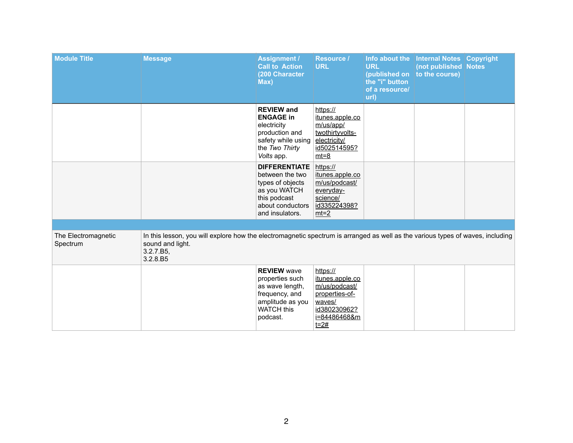| <b>Module Title</b>             | <b>Message</b>                                                                                                                                                              | <b>Assignment /</b><br><b>Call to Action</b><br>(200 Character<br>Max)                                                             | <b>Resource /</b><br><b>URL</b>                                                                                         | <b>URL</b><br>(published on<br>the "i" button<br>of a resource/<br>url) | Info about the   Internal Notes   Copyright<br>(not published Notes<br>to the course) |  |
|---------------------------------|-----------------------------------------------------------------------------------------------------------------------------------------------------------------------------|------------------------------------------------------------------------------------------------------------------------------------|-------------------------------------------------------------------------------------------------------------------------|-------------------------------------------------------------------------|---------------------------------------------------------------------------------------|--|
|                                 |                                                                                                                                                                             | <b>REVIEW and</b><br><b>ENGAGE in</b><br>electricity<br>production and<br>safety while using<br>the Two Thirty<br>Volts app.       | https://<br><u>itunes.apple.co</u><br>m/us/app/<br>twothirtyvolts-<br>electricity/<br>id502514595?<br>$mt=8$            |                                                                         |                                                                                       |  |
|                                 |                                                                                                                                                                             | <b>DIFFERENTIATE</b><br>between the two<br>types of objects<br>as you WATCH<br>this podcast<br>about conductors<br>and insulators. | https://<br>itunes.apple.co<br>m/us/podcast/<br>everyday-<br>science/<br>id335224398?<br>$mt=2$                         |                                                                         |                                                                                       |  |
|                                 |                                                                                                                                                                             |                                                                                                                                    |                                                                                                                         |                                                                         |                                                                                       |  |
| The Electromagnetic<br>Spectrum | In this lesson, you will explore how the electromagnetic spectrum is arranged as well as the various types of waves, including<br>sound and light.<br>3.2.7.B5,<br>3.2.8.B5 |                                                                                                                                    |                                                                                                                         |                                                                         |                                                                                       |  |
|                                 |                                                                                                                                                                             | <b>REVIEW wave</b><br>properties such<br>as wave length,<br>frequency, and<br>amplitude as you<br><b>WATCH this</b><br>podcast.    | https://<br>itunes.apple.co<br>m/us/podcast/<br>properties-of-<br>waves/<br>id380230962?<br>i=84486468&m<br><u>t=2#</u> |                                                                         |                                                                                       |  |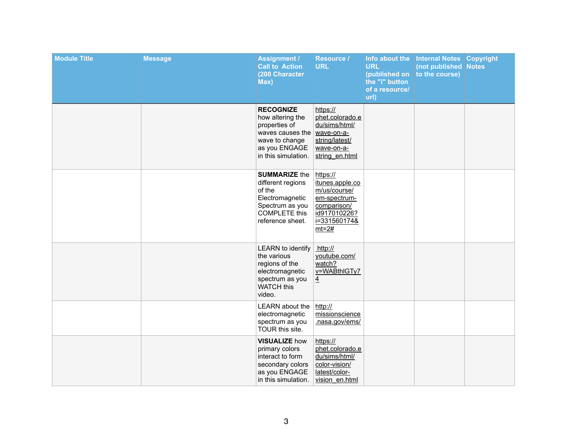| <b>Module Title</b> | <b>Message</b> | <b>Assignment /</b><br><b>Call to Action</b><br>(200 Character<br>Max)                                                                | <b>Resource /</b><br><b>URL</b>                                                                                       | Info about the<br><b>URL</b><br>(published on<br>the "i" button<br>of a resource/<br>url) | <b>Internal Notes Copyright</b><br>(not published Notes<br>to the course) |  |
|---------------------|----------------|---------------------------------------------------------------------------------------------------------------------------------------|-----------------------------------------------------------------------------------------------------------------------|-------------------------------------------------------------------------------------------|---------------------------------------------------------------------------|--|
|                     |                | <b>RECOGNIZE</b><br>how altering the<br>properties of<br>waves causes the<br>wave to change<br>as you ENGAGE<br>in this simulation.   | https://<br>phet.colorado.e<br>du/sims/html/<br>wave-on-a-<br>string/latest/<br>wave-on-a-<br>string_en.html          |                                                                                           |                                                                           |  |
|                     |                | <b>SUMMARIZE the</b><br>different regions<br>of the<br>Electromagnetic<br>Spectrum as you<br><b>COMPLETE this</b><br>reference sheet. | https://<br>itunes.apple.co<br>m/us/course/<br>em-spectrum-<br>comparison/<br>id917010226?<br>i=331560174&<br>$mt=2#$ |                                                                                           |                                                                           |  |
|                     |                | <b>LEARN</b> to identify<br>the various<br>regions of the<br>electromagnetic<br>spectrum as you<br><b>WATCH this</b><br>video.        | http://<br>youtube.com/<br>watch?<br>v=WABthIGTy7<br>4                                                                |                                                                                           |                                                                           |  |
|                     |                | LEARN about the<br>electromagnetic<br>spectrum as you<br>TOUR this site.                                                              | http://<br>missionscience<br>.nasa.gov/ems/                                                                           |                                                                                           |                                                                           |  |
|                     |                | <b>VISUALIZE how</b><br>primary colors<br>interact to form<br>secondary colors<br>as you ENGAGE<br>in this simulation.                | https://<br>phet.colorado.e<br>du/sims/html/<br>color-vision/<br>latest/color-<br>vision en.html                      |                                                                                           |                                                                           |  |